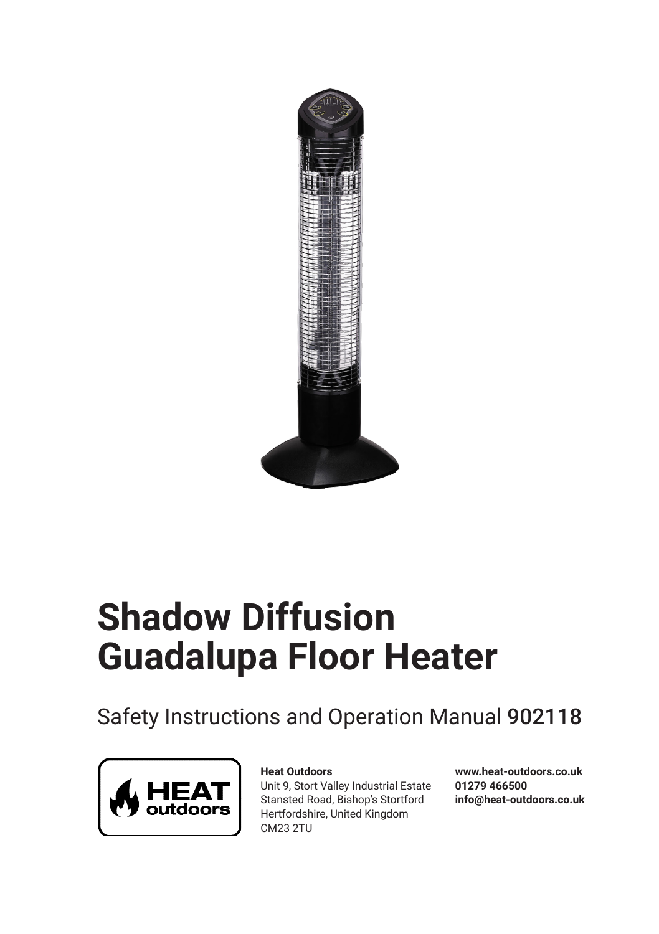

# **Shadow Diffusion Guadalupa Floor Heater**

Safety Instructions and Operation Manual 902118



#### **Heat Outdoors**

Unit 9, Stort Valley Industrial Estate Stansted Road, Bishop's Stortford Hertfordshire, United Kingdom CM23 2TU

**www.heat-outdoors.co.uk 01279 466500 info@heat-outdoors.co.uk**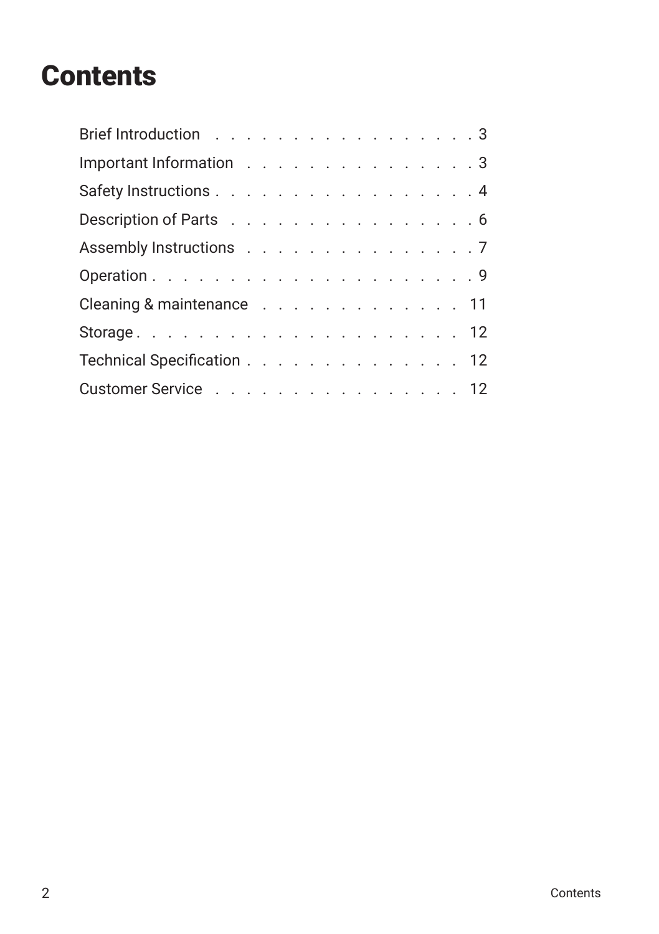### **Contents**

| Brief Introduction 3       |  |  |  |  |  |  |  |
|----------------------------|--|--|--|--|--|--|--|
| Important Information 3    |  |  |  |  |  |  |  |
| Safety Instructions 4      |  |  |  |  |  |  |  |
| Description of Parts 6     |  |  |  |  |  |  |  |
| Assembly Instructions 7    |  |  |  |  |  |  |  |
|                            |  |  |  |  |  |  |  |
| Cleaning & maintenance 11  |  |  |  |  |  |  |  |
|                            |  |  |  |  |  |  |  |
| Technical Specification 12 |  |  |  |  |  |  |  |
| Customer Service 12        |  |  |  |  |  |  |  |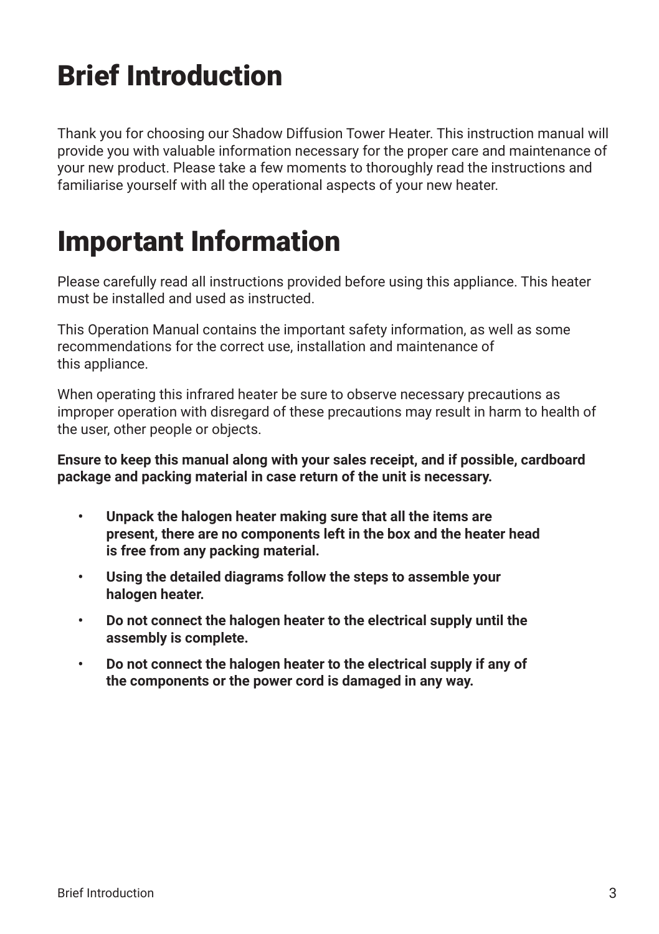## Brief Introduction

Thank you for choosing our Shadow Diffusion Tower Heater. This instruction manual will provide you with valuable information necessary for the proper care and maintenance of your new product. Please take a few moments to thoroughly read the instructions and familiarise yourself with all the operational aspects of your new heater.

### Important Information

Please carefully read all instructions provided before using this appliance. This heater must be installed and used as instructed.

This Operation Manual contains the important safety information, as well as some recommendations for the correct use, installation and maintenance of this appliance.

When operating this infrared heater be sure to observe necessary precautions as improper operation with disregard of these precautions may result in harm to health of the user, other people or objects.

#### **Ensure to keep this manual along with your sales receipt, and if possible, cardboard package and packing material in case return of the unit is necessary.**

- **• Unpack the halogen heater making sure that all the items are present, there are no components left in the box and the heater head is free from any packing material.**
- **• Using the detailed diagrams follow the steps to assemble your halogen heater.**
- **• Do not connect the halogen heater to the electrical supply until the assembly is complete.**
- **• Do not connect the halogen heater to the electrical supply if any of the components or the power cord is damaged in any way.**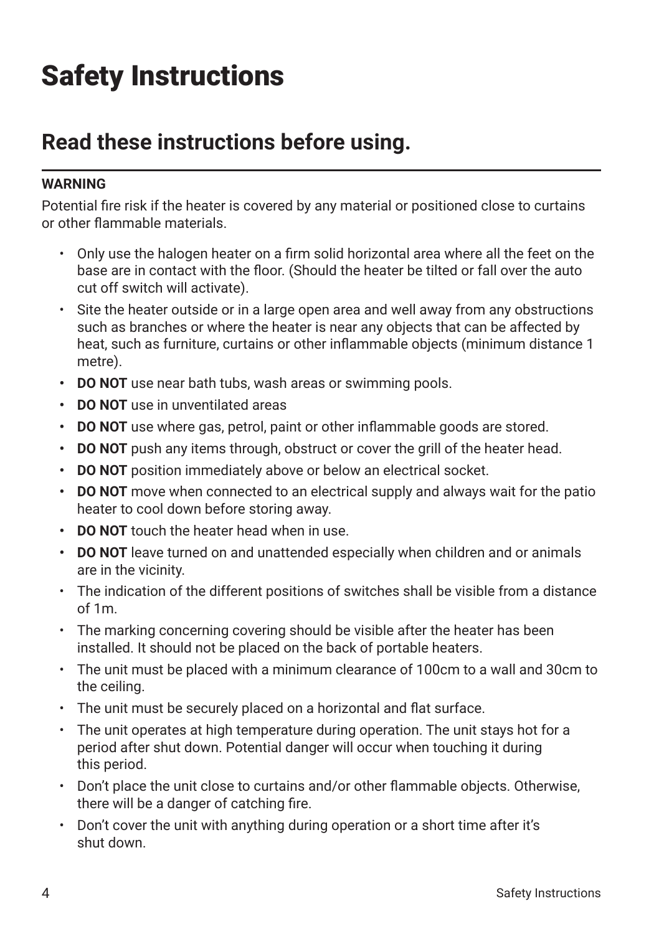## Safety Instructions

#### **Read these instructions before using.**

#### **WARNING**

Potential fire risk if the heater is covered by any material or positioned close to curtains or other flammable materials.

- Only use the halogen heater on a firm solid horizontal area where all the feet on the base are in contact with the floor. (Should the heater be tilted or fall over the auto cut off switch will activate).
- Site the heater outside or in a large open area and well away from any obstructions such as branches or where the heater is near any objects that can be affected by heat, such as furniture, curtains or other inflammable objects (minimum distance 1 metre).
- **• DO NOT** use near bath tubs, wash areas or swimming pools.
- **• DO NOT** use in unventilated areas
- **• DO NOT** use where gas, petrol, paint or other inflammable goods are stored.
- **• DO NOT** push any items through, obstruct or cover the grill of the heater head.
- **• DO NOT** position immediately above or below an electrical socket.
- **• DO NOT** move when connected to an electrical supply and always wait for the patio heater to cool down before storing away.
- **• DO NOT** touch the heater head when in use.
- **• DO NOT** leave turned on and unattended especially when children and or animals are in the vicinity.
- The indication of the different positions of switches shall be visible from a distance of 1m.
- The marking concerning covering should be visible after the heater has been installed. It should not be placed on the back of portable heaters.
- The unit must be placed with a minimum clearance of 100cm to a wall and 30cm to the ceiling.
- The unit must be securely placed on a horizontal and flat surface.
- The unit operates at high temperature during operation. The unit stays hot for a period after shut down. Potential danger will occur when touching it during this period.
- Don't place the unit close to curtains and/or other flammable objects. Otherwise, there will be a danger of catching fire.
- Don't cover the unit with anything during operation or a short time after it's shut down.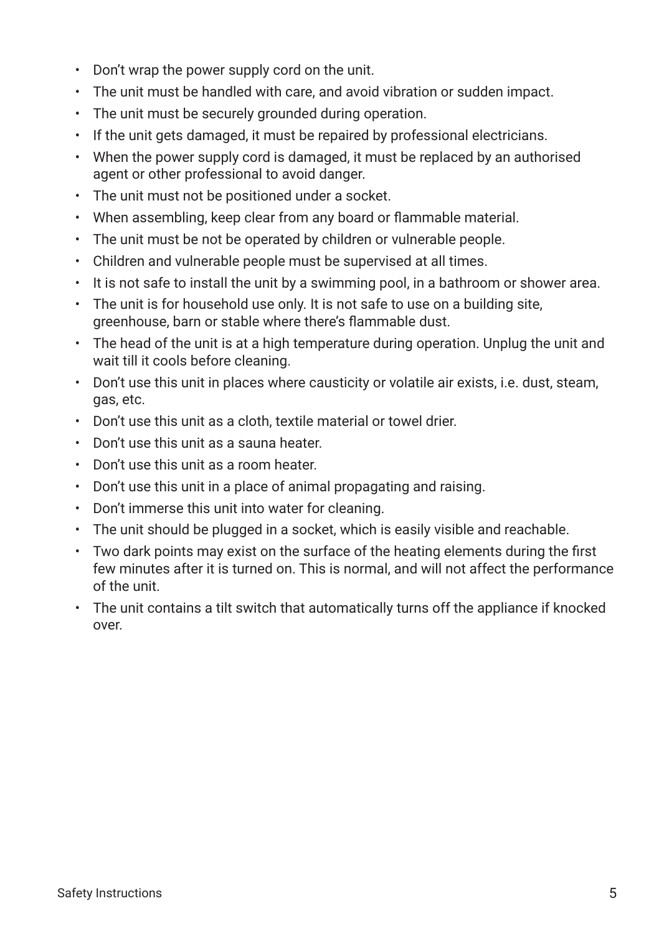- Don't wrap the power supply cord on the unit.
- The unit must be handled with care, and avoid vibration or sudden impact.
- The unit must be securely grounded during operation.
- If the unit gets damaged, it must be repaired by professional electricians.
- When the power supply cord is damaged, it must be replaced by an authorised agent or other professional to avoid danger.
- The unit must not be positioned under a socket.
- When assembling, keep clear from any board or flammable material.
- The unit must be not be operated by children or vulnerable people.
- Children and vulnerable people must be supervised at all times.
- It is not safe to install the unit by a swimming pool, in a bathroom or shower area.
- The unit is for household use only. It is not safe to use on a building site, greenhouse, barn or stable where there's flammable dust.
- The head of the unit is at a high temperature during operation. Unplug the unit and wait till it cools before cleaning.
- Don't use this unit in places where causticity or volatile air exists, i.e. dust, steam, gas, etc.
- Don't use this unit as a cloth, textile material or towel drier.
- Don't use this unit as a sauna heater.
- Don't use this unit as a room heater.
- Don't use this unit in a place of animal propagating and raising.
- Don't immerse this unit into water for cleaning.
- The unit should be plugged in a socket, which is easily visible and reachable.
- Two dark points may exist on the surface of the heating elements during the first few minutes after it is turned on. This is normal, and will not affect the performance of the unit.
- The unit contains a tilt switch that automatically turns off the appliance if knocked over.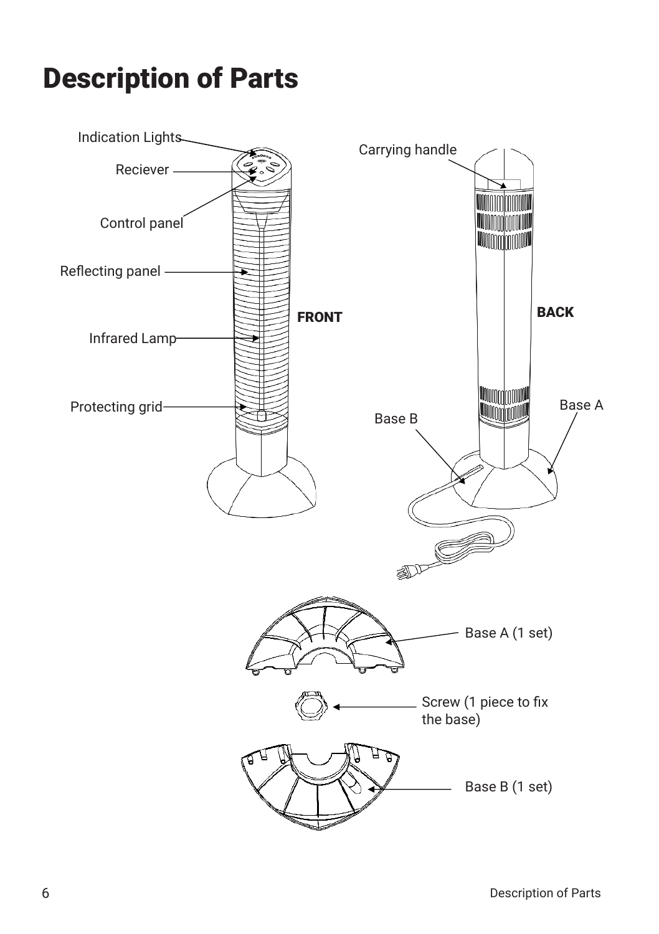### Description of Parts

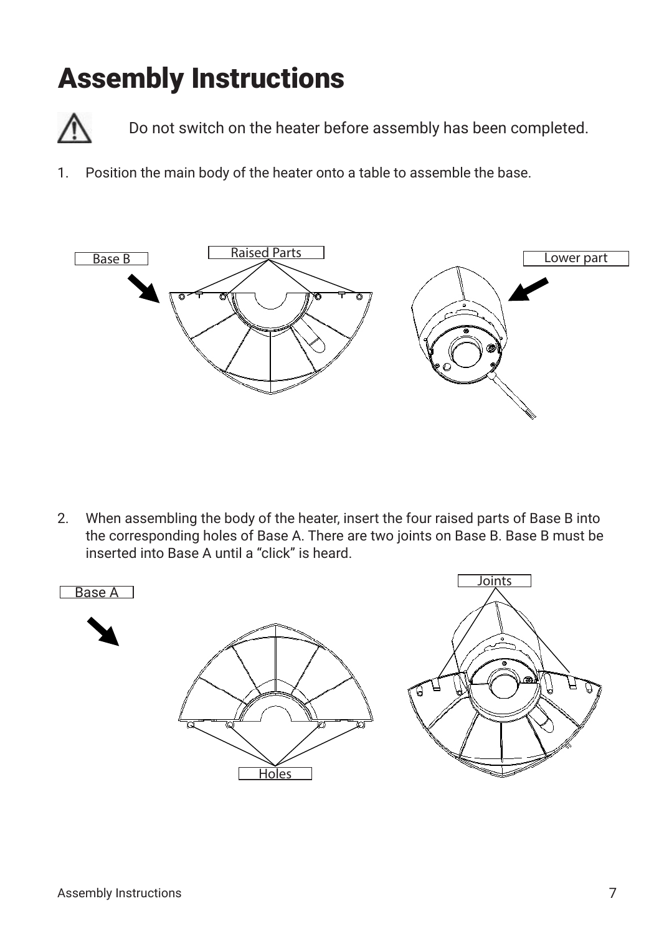### Assembly Instructions



Do not switch on the heater before assembly has been completed.

1. Position the main body of the heater onto a table to assemble the base.



2. When assembling the body of the heater, insert the four raised parts of Base B into the corresponding holes of Base A. There are two joints on Base B. Base B must be inserted into Base A until a "click" is heard.

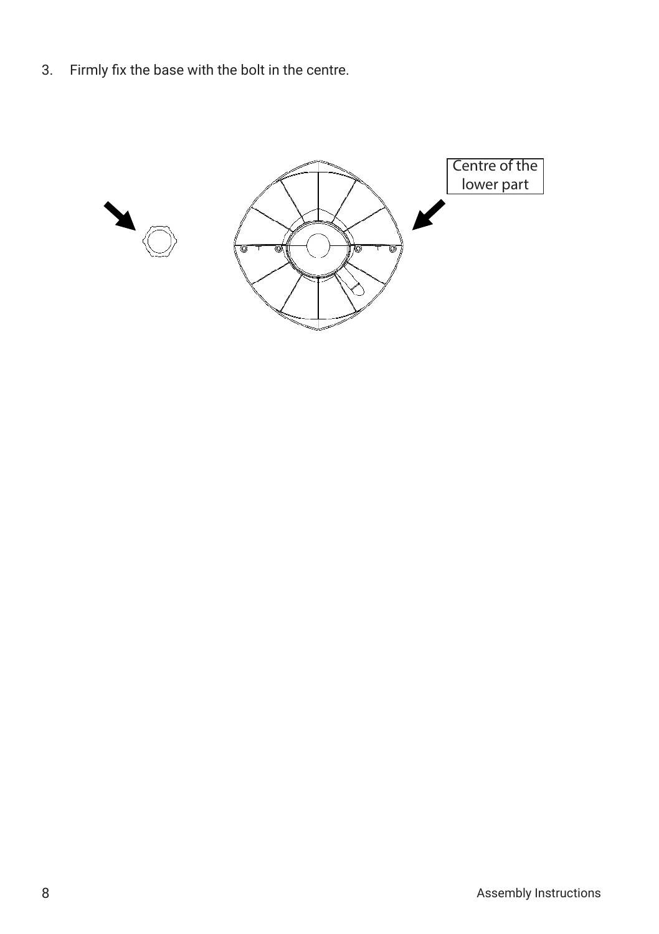3. Firmly fix the base with the bolt in the centre.

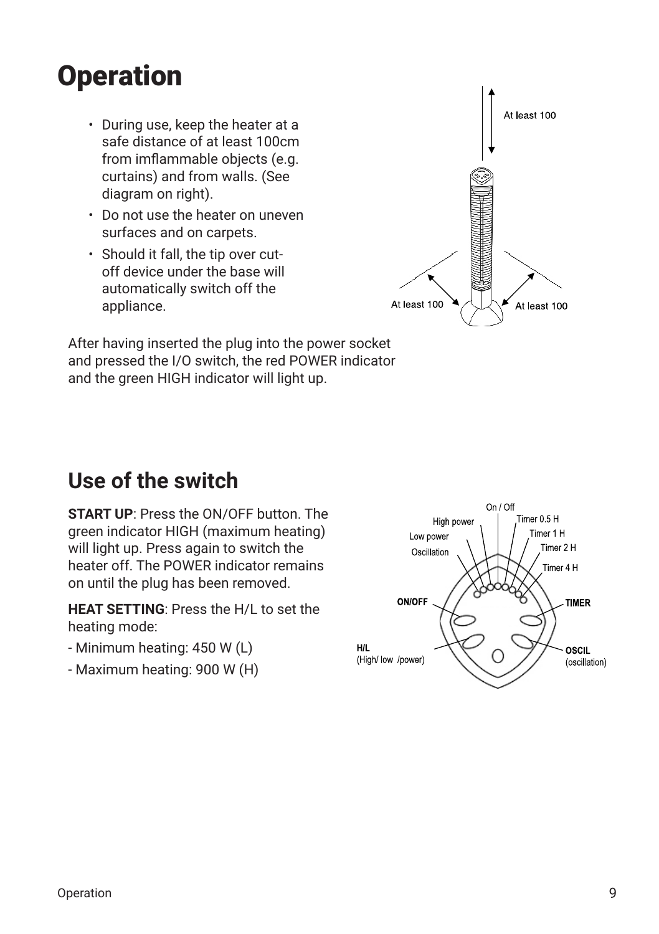### **Operation**

- During use, keep the heater at a safe distance of at least 100cm from imflammable objects (e.g. curtains) and from walls. (See diagram on right).
- Do not use the heater on uneven surfaces and on carpets.
- Should it fall, the tip over cutoff device under the base will automatically switch off the appliance.



After having inserted the plug into the power socket and pressed the I/O switch, the red POWER indicator and the green HIGH indicator will light up.

### **Use of the switch**

**START UP**: Press the ON/OFF button. The green indicator HIGH (maximum heating) will light up. Press again to switch the heater off. The POWER indicator remains on until the plug has been removed.

**HEAT SETTING**: Press the H/L to set the heating mode:

- Minimum heating: 450 W (L)
- Maximum heating: 900 W (H)

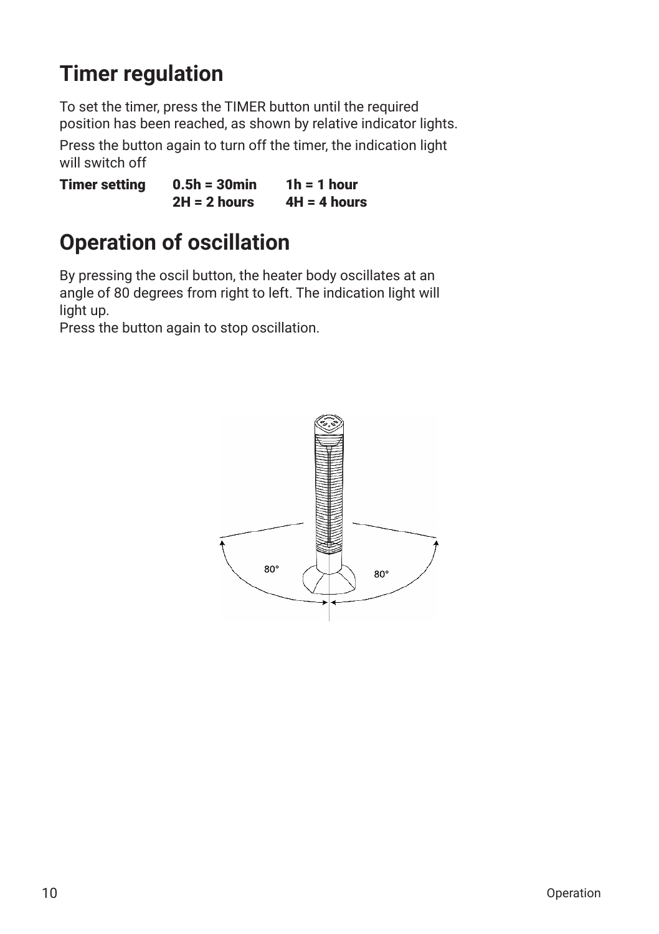### **Timer regulation**

To set the timer, press the TIMER button until the required position has been reached, as shown by relative indicator lights.

Press the button again to turn off the timer, the indication light will switch off

Timer setting  $0.5h = 30$  min  $1h = 1$  hour  $2H = 2$  hours  $4H = 4$  hours

### **Operation of oscillation**

By pressing the oscil button, the heater body oscillates at an angle of 80 degrees from right to left. The indication light will light up.

Press the button again to stop oscillation.

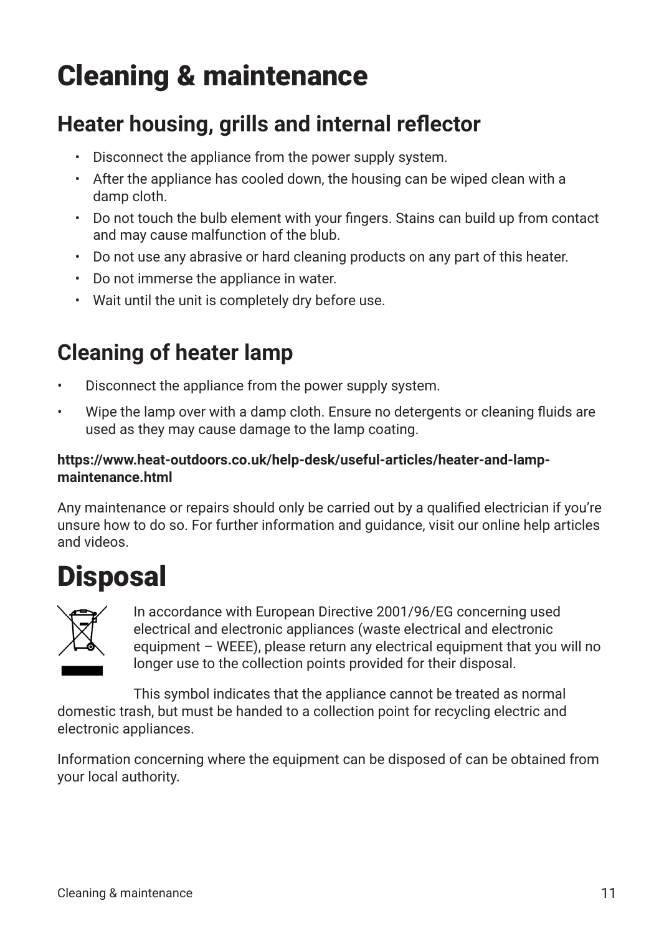## Cleaning & maintenance

### **Heater housing, grills and internal reflector**

- Disconnect the appliance from the power supply system.
- After the appliance has cooled down, the housing can be wiped clean with a damp cloth.
- Do not touch the bulb element with your fingers. Stains can build up from contact and may cause malfunction of the blub.
- Do not use any abrasive or hard cleaning products on any part of this heater.
- Do not immerse the appliance in water.
- Wait until the unit is completely dry before use.

### **Cleaning of heater lamp**

- Disconnect the appliance from the power supply system.
- Wipe the lamp over with a damp cloth. Ensure no detergents or cleaning fluids are used as they may cause damage to the lamp coating.

#### **https://www.heat-outdoors.co.uk/help-desk/useful-articles/heater-and-lampmaintenance.html**

Any maintenance or repairs should only be carried out by a qualified electrician if you're unsure how to do so. For further information and guidance, visit our online help articles and videos.

### **Disposal**



In accordance with European Directive 2001/96/EG concerning used electrical and electronic appliances (waste electrical and electronic equipment – WEEE), please return any electrical equipment that you will no longer use to the collection points provided for their disposal.

This symbol indicates that the appliance cannot be treated as normal domestic trash, but must be handed to a collection point for recycling electric and electronic appliances.

Information concerning where the equipment can be disposed of can be obtained from your local authority.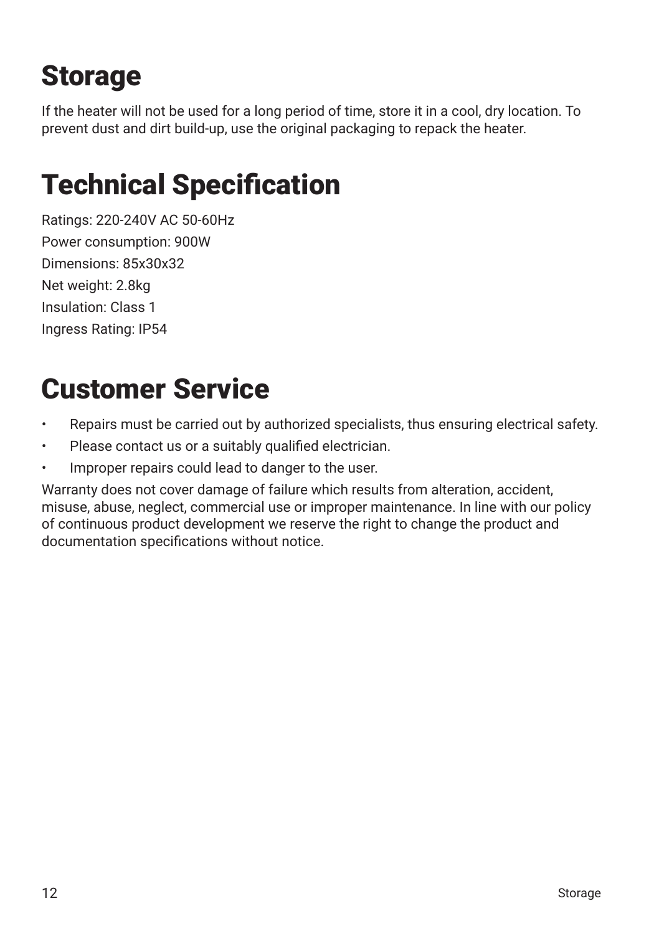## Storage

If the heater will not be used for a long period of time, store it in a cool, dry location. To prevent dust and dirt build-up, use the original packaging to repack the heater.

### Technical Specification

Ratings: 220-240V AC 50-60Hz Power consumption: 900W Dimensions: 85x30x32 Net weight: 2.8kg Insulation: Class 1 Ingress Rating: IP54

### Customer Service

- Repairs must be carried out by authorized specialists, thus ensuring electrical safety.
- Please contact us or a suitably qualified electrician.
- Improper repairs could lead to danger to the user.

Warranty does not cover damage of failure which results from alteration, accident, misuse, abuse, neglect, commercial use or improper maintenance. In line with our policy of continuous product development we reserve the right to change the product and documentation specifications without notice.